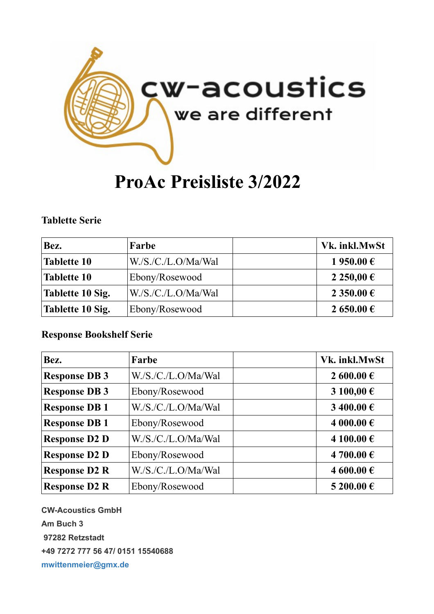

# **ProAc Preisliste 3/2022**

### **Tablette Serie**

| Bez.                    | Farbe               | Vk. inkl.MwSt |
|-------------------------|---------------------|---------------|
| <b>Tablette 10</b>      | W.S.C.L.O/Ma/Wa1    | 1 950.00 €    |
| Tablette 10             | Ebony/Rosewood      | 2 250,00 €    |
| <b>Tablette 10 Sig.</b> | W./S./C./L.O/Ma/Wal | 2 350.00 €    |
| Tablette 10 Sig.        | Ebony/Rosewood      | 2 650.00 €    |

### **Response Bookshelf Serie**

| Bez.                 | Farbe               | Vk. inkl.MwSt |
|----------------------|---------------------|---------------|
| <b>Response DB3</b>  | W./S./C./L.O/Ma/Wal | 2 600.00 €    |
| <b>Response DB3</b>  | Ebony/Rosewood      | 3 100,00 €    |
| <b>Response DB1</b>  | W./S./C./L.O/Ma/Wal | $3400.00 \in$ |
| <b>Response DB1</b>  | Ebony/Rosewood      | 4 000.00 €    |
| <b>Response D2 D</b> | W./S./C./L.O/Ma/Wal | 4 100.00€     |
| <b>Response D2 D</b> | Ebony/Rosewood      | 4 700.00 €    |
| <b>Response D2 R</b> | W./S./C./L.O/Ma/Wal | 4 600.00 €    |
| <b>Response D2 R</b> | Ebony/Rosewood      | 5 200.00 €    |

**CW-Acoustics GmbH Am Buch 3 97282 Retzstadt +49 7272 777 56 47/ 0151 15540688 [mwittenmeier@gmx.de](mailto:mwittenmeier@gmx.de)**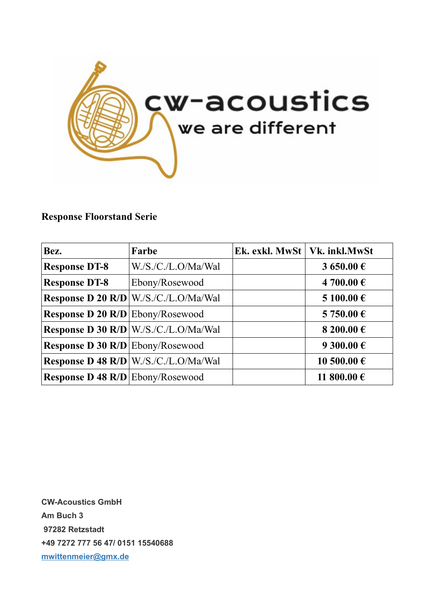

## **Response Floorstand Serie**

| Bez.                                    | Farbe                                        | Ek. exkl. MwSt   Vk. inkl.MwSt |                     |
|-----------------------------------------|----------------------------------------------|--------------------------------|---------------------|
| <b>Response DT-8</b>                    | W.S./C./L.O/Ma/Wal                           |                                | 3 650.00 €          |
| <b>Response DT-8</b>                    | Ebony/Rosewood                               |                                | 4 700.00 €          |
|                                         | <b>Response D 20 R/D W./S./C./L.O/Ma/Wal</b> |                                | 5 100.00€           |
| Response D 20 R/D Ebony/Rosewood        |                                              |                                | 5 750.00 €          |
|                                         | Response D 30 R/D   W./S./C./L.O/Ma/Wal      |                                | 8 200.00 $\epsilon$ |
| Response D 30 R/D Ebony/Rosewood        |                                              |                                | 9 300.00 €          |
|                                         | <b>Response D 48 R/D W./S./C./L.O/Ma/Wal</b> |                                | 10 500.00 €         |
| <b>Response D 48 R/D</b> Ebony/Rosewood |                                              |                                | 11 800.00 €         |

**CW-Acoustics GmbH Am Buch 3 97282 Retzstadt +49 7272 777 56 47/ 0151 15540688 [mwittenmeier@gmx.de](mailto:mwittenmeier@gmx.de)**